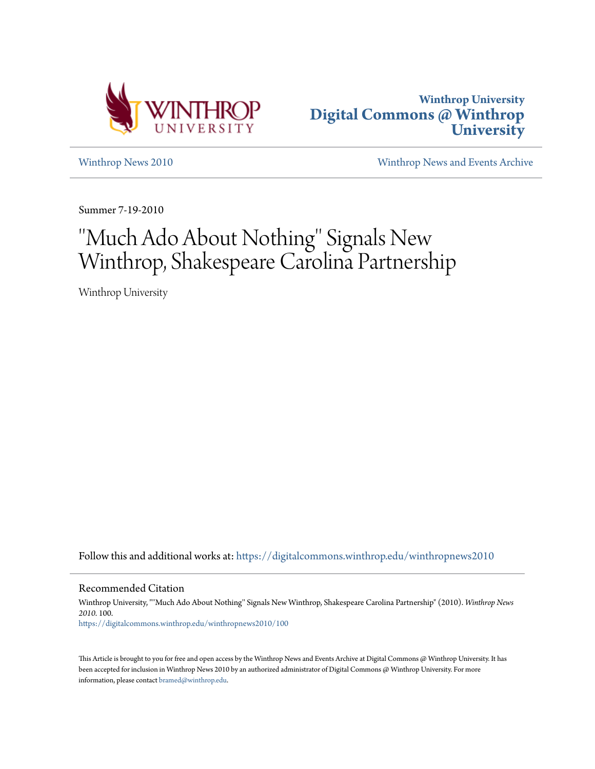



[Winthrop News 2010](https://digitalcommons.winthrop.edu/winthropnews2010?utm_source=digitalcommons.winthrop.edu%2Fwinthropnews2010%2F100&utm_medium=PDF&utm_campaign=PDFCoverPages) [Winthrop News and Events Archive](https://digitalcommons.winthrop.edu/winthropnewsarchives?utm_source=digitalcommons.winthrop.edu%2Fwinthropnews2010%2F100&utm_medium=PDF&utm_campaign=PDFCoverPages)

Summer 7-19-2010

## ''Much Ado About Nothing'' Signals New Winthrop, Shakespeare Carolina Partnership

Winthrop University

Follow this and additional works at: [https://digitalcommons.winthrop.edu/winthropnews2010](https://digitalcommons.winthrop.edu/winthropnews2010?utm_source=digitalcommons.winthrop.edu%2Fwinthropnews2010%2F100&utm_medium=PDF&utm_campaign=PDFCoverPages)

Recommended Citation

Winthrop University, "''Much Ado About Nothing'' Signals New Winthrop, Shakespeare Carolina Partnership" (2010). *Winthrop News 2010*. 100. [https://digitalcommons.winthrop.edu/winthropnews2010/100](https://digitalcommons.winthrop.edu/winthropnews2010/100?utm_source=digitalcommons.winthrop.edu%2Fwinthropnews2010%2F100&utm_medium=PDF&utm_campaign=PDFCoverPages)

This Article is brought to you for free and open access by the Winthrop News and Events Archive at Digital Commons @ Winthrop University. It has been accepted for inclusion in Winthrop News 2010 by an authorized administrator of Digital Commons @ Winthrop University. For more information, please contact [bramed@winthrop.edu](mailto:bramed@winthrop.edu).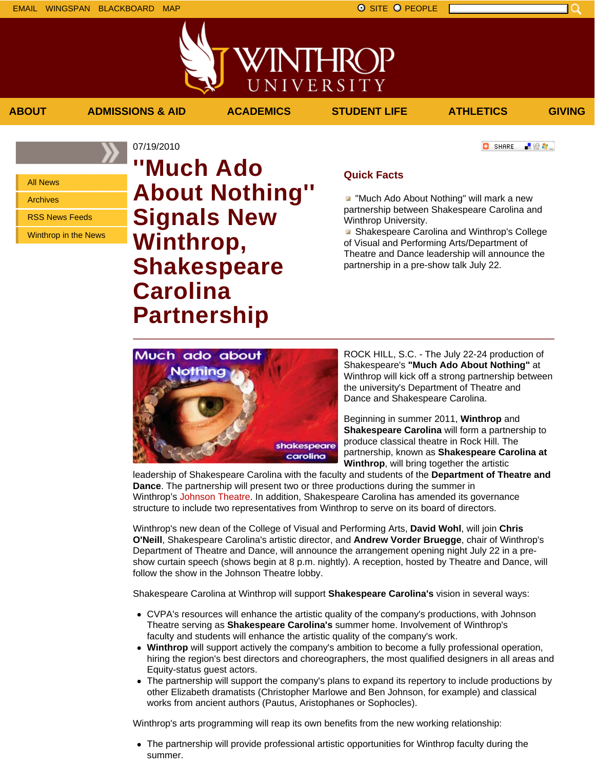All News

Archives

RSS News Feeds

Winthrop in the News

07/19/2010 **''Much Ado About Nothing'' Signals New Winthrop, Shakespeare Carolina Partnership**

## **Quick Facts**

**ABOUT ADMISSIONS & AID ACADEMICS STUDENT LIFE ATHLETICS GIVING**

WINTHROP

UNIVERSITY

**T** "Much Ado About Nothing" will mark a new partnership between Shakespeare Carolina and Winthrop University.

**B** Shakespeare Carolina and Winthrop's College of Visual and Performing Arts/Department of Theatre and Dance leadership will announce the partnership in a pre-show talk July 22.

ROCK HILL, S.C. - The July 22-24 production of Shakespeare's **"Much Ado About Nothing"** at Winthrop will kick off a strong partnership between the university's Department of Theatre and Dance and Shakespeare Carolina.

Beginning in summer 2011, **Winthrop** and **Shakespeare Carolina** will form a partnership to produce classical theatre in Rock Hill. The partnership, known as **Shakespeare Carolina at Winthrop**, will bring together the artistic

leadership of Shakespeare Carolina with the faculty and students of the **Department of Theatre and Dance**. The partnership will present two or three productions during the summer in Winthrop's Johnson Theatre. In addition, Shakespeare Carolina has amended its governance structure to include two representatives from Winthrop to serve on its board of directors.

Winthrop's new dean of the College of Visual and Performing Arts, **David Wohl**, will join **Chris O'Neill**, Shakespeare Carolina's artistic director, and **Andrew Vorder Bruegge**, chair of Winthrop's Department of Theatre and Dance, will announce the arrangement opening night July 22 in a preshow curtain speech (shows begin at 8 p.m. nightly). A reception, hosted by Theatre and Dance, will follow the show in the Johnson Theatre lobby.

Shakespeare Carolina at Winthrop will support **Shakespeare Carolina's** vision in several ways:

- CVPA's resources will enhance the artistic quality of the company's productions, with Johnson Theatre serving as **Shakespeare Carolina's** summer home. Involvement of Winthrop's faculty and students will enhance the artistic quality of the company's work.
- **Winthrop** will support actively the company's ambition to become a fully professional operation, hiring the region's best directors and choreographers, the most qualified designers in all areas and Equity-status guest actors.
- The partnership will support the company's plans to expand its repertory to include productions by other Elizabeth dramatists (Christopher Marlowe and Ben Johnson, for example) and classical works from ancient authors (Pautus, Aristophanes or Sophocles).

Winthrop's arts programming will reap its own benefits from the new working relationship:

The partnership will provide professional artistic opportunities for Winthrop faculty during the summer.



**C** SHARE 上没有。